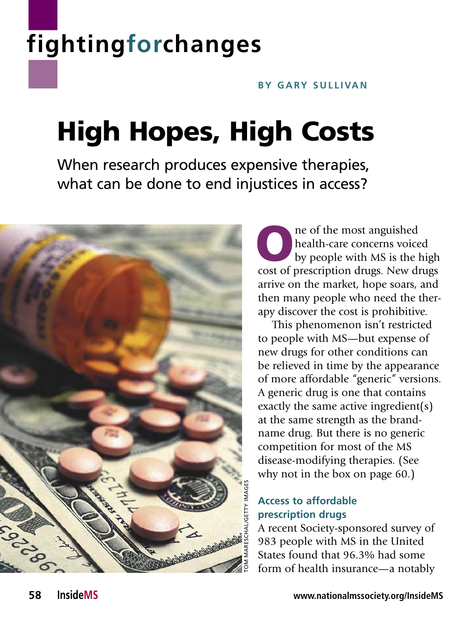# **fightingforchanges**

#### **BY GARY SULLIVAN**

# High Hopes, High Costs

When research produces expensive therapies, what can be done to end injustices in access?



The of the most anguished<br>health-care concerns voice<br>by people with MS is the l health-care concerns voiced by people with MS is the high cost of prescription drugs. New drugs arrive on the market, hope soars, and then many people who need the therapy discover the cost is prohibitive.

This phenomenon isn't restricted to people with MS—but expense of new drugs for other conditions can be relieved in time by the appearance of more affordable "generic" versions. A generic drug is one that contains exactly the same active ingredient(s) at the same strength as the brandname drug. But there is no generic competition for most of the MS disease-modifying therapies. (See why not in the box on page 60.)

### **Access to affordable prescription drugs**

A recent Society-sponsored survey of 983 people with MS in the United States found that 96.3% had some form of health insurance—a notably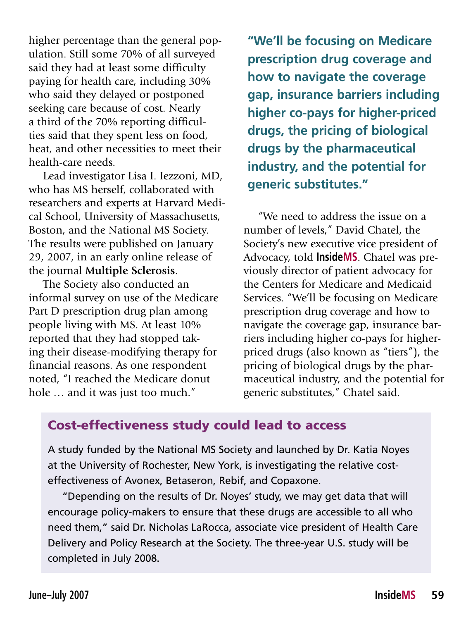higher percentage than the general population. Still some 70% of all surveyed said they had at least some difficulty paying for health care, including 30% who said they delayed or postponed seeking care because of cost. Nearly a third of the 70% reporting difficulties said that they spent less on food, heat, and other necessities to meet their health-care needs.

Lead investigator Lisa I. Iezzoni, MD, who has MS herself, collaborated with researchers and experts at Harvard Medical School, University of Massachusetts, Boston, and the National MS Society. The results were published on January 29, 2007, in an early online release of the journal **Multiple Sclerosis**.

The Society also conducted an informal survey on use of the Medicare Part D prescription drug plan among people living with MS. At least 10% reported that they had stopped taking their disease-modifying therapy for financial reasons. As one respondent noted, "I reached the Medicare donut hole … and it was just too much."

**"We'll be focusing on Medicare prescription drug coverage and how to navigate the coverage gap, insurance barriers including higher co-pays for higher-priced drugs, the pricing of biologicaldrugs by the pharmaceutical industry, and the potential for generic substitutes."**

"We need to address the issue on a number of levels," David Chatel, the Society's new executive vice president of Advocacy, told **InsideMS**. Chatel was previously director of patient advocacy for the Centers for Medicare and Medicaid Services. "We'll be focusing on Medicare prescription drug coverage and how to navigate the coverage gap, insurance barriers including higher co-pays for higherpriced drugs (also known as "tiers"), the pricing of biological drugs by the pharmaceutical industry, and the potential for generic substitutes," Chatel said.

### Cost-effectiveness study could lead to access

A study funded by the National MS Society and launched by Dr. Katia Noyes at the University of Rochester, New York, is investigating the relative costeffectiveness of Avonex, Betaseron, Rebif, and Copaxone.

"Depending on the results of Dr. Noyes' study, we may get data that will encourage policy-makers to ensure that these drugs are accessible to all who need them," said Dr. Nicholas LaRocca, associate vice president of Health Care Delivery and Policy Research at the Society. The three-year U.S. study will be completed in July 2008.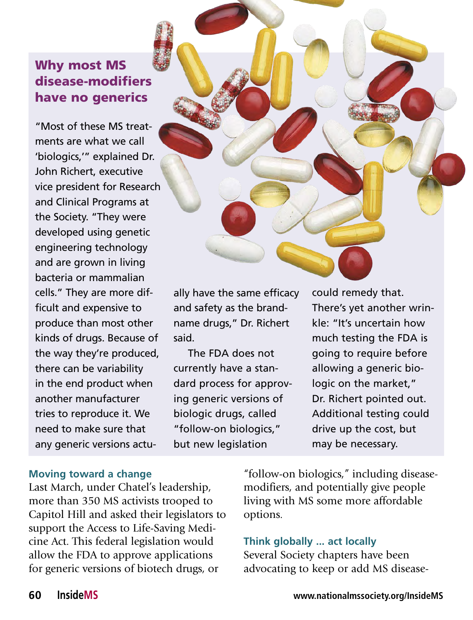## Why most MS disease-modifiers have no generics

"Most of these MS treatments are what we call 'biologics,'" explained Dr. John Richert, executive vice president for Research and Clinical Programs at the Society. "They were developed using genetic engineering technology and are grown in living bacteria or mammalian cells." They are more difficult and expensive to produce than most other kinds of drugs. Because of the way they're produced, there can be variability in the end product when another manufacturer tries to reproduce it. We need to make sure that any generic versions actu-

ally have the same efficacy and safety as the brandname drugs," Dr. Richert said.

The FDA does not currently have a standard process for approving generic versions of biologic drugs, called "follow-on biologics," but new legislation

could remedy that. There's yet another wrinkle: "It's uncertain how much testing the FDA is going to require before allowing a generic biologic on the market," Dr. Richert pointed out. Additional testing could drive up the cost, but may be necessary.

#### **Moving toward a change**

Last March, under Chatel's leadership, more than 350 MS activists trooped to Capitol Hill and asked their legislators to support the Access to Life-Saving Medicine Act. This federal legislation would allow the FDA to approve applications for generic versions of biotech drugs, or

"follow-on biologics," including diseasemodifiers, and potentially give people living with MS some more affordable options.

#### **Think globally ... act locally**

Several Society chapters have been advocating to keep or add MS disease